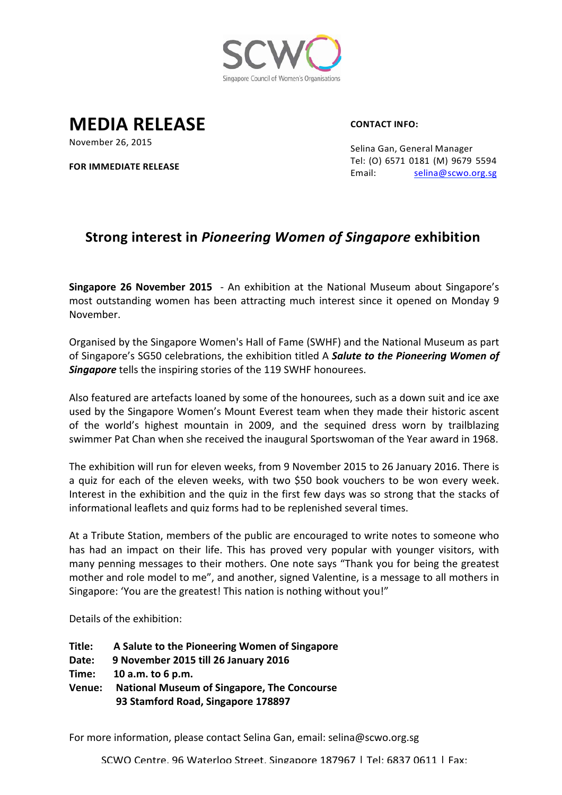

**MEDIA RELEASE**

**CONTACT INFO:**

November 26, 2015

**FOR IMMEDIATE RELEASE**

Selina Gan, General Manager Tel: (O) 6571 0181 (M) 9679 5594 Email: selina@scwo.org.sg

## **Strong interest in Pioneering Women of Singapore exhibition**

**Singapore 26 November 2015** - An exhibition at the National Museum about Singapore's most outstanding women has been attracting much interest since it opened on Monday 9 November.

Organised by the Singapore Women's Hall of Fame (SWHF) and the National Museum as part of Singapore's SG50 celebrations, the exhibition titled A *Salute to the Pioneering Women of Singapore* tells the inspiring stories of the 119 SWHF honourees.

Also featured are artefacts loaned by some of the honourees, such as a down suit and ice axe used by the Singapore Women's Mount Everest team when they made their historic ascent of the world's highest mountain in 2009, and the sequined dress worn by trailblazing swimmer Pat Chan when she received the inaugural Sportswoman of the Year award in 1968.

The exhibition will run for eleven weeks, from 9 November 2015 to 26 January 2016. There is a quiz for each of the eleven weeks, with two \$50 book vouchers to be won every week. Interest in the exhibition and the quiz in the first few days was so strong that the stacks of informational leaflets and quiz forms had to be replenished several times.

At a Tribute Station, members of the public are encouraged to write notes to someone who has had an impact on their life. This has proved very popular with younger visitors, with many penning messages to their mothers. One note says "Thank you for being the greatest mother and role model to me", and another, signed Valentine, is a message to all mothers in Singapore: 'You are the greatest! This nation is nothing without you!"

Details of the exhibition:

**Title: A Salute to the Pioneering Women of Singapore Date: 9 November 2015 till 26 January 2016 Time: 10 a.m. to 6 p.m. Venue: National Museum of Singapore, The Concourse 93 Stamford Road, Singapore 178897** 

For more information, please contact Selina Gan, email: selina@scwo.org.sg

SCWO Centre, 96 Waterloo Street, Singapore 187967 | Tel: 6837 0611 | Fax: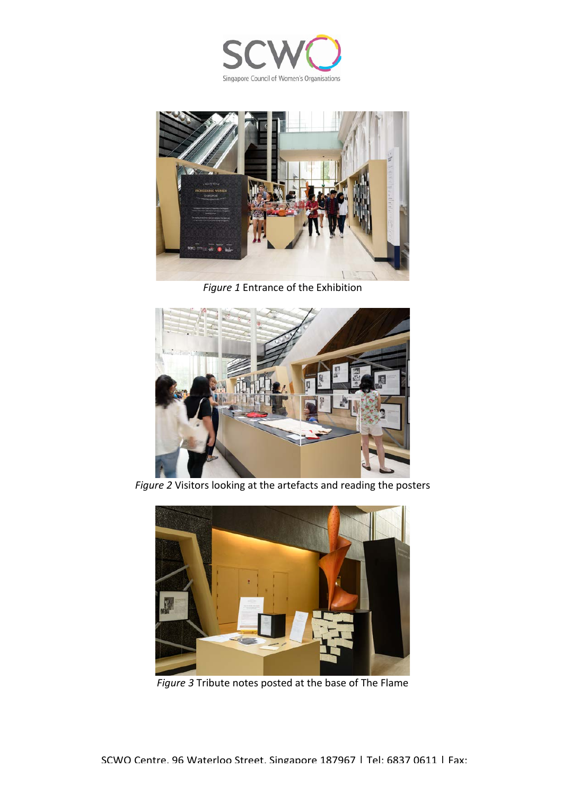



**Figure 1 Entrance of the Exhibition** 



Figure 2 Visitors looking at the artefacts and reading the posters



*Figure* 3 Tribute notes posted at the base of The Flame